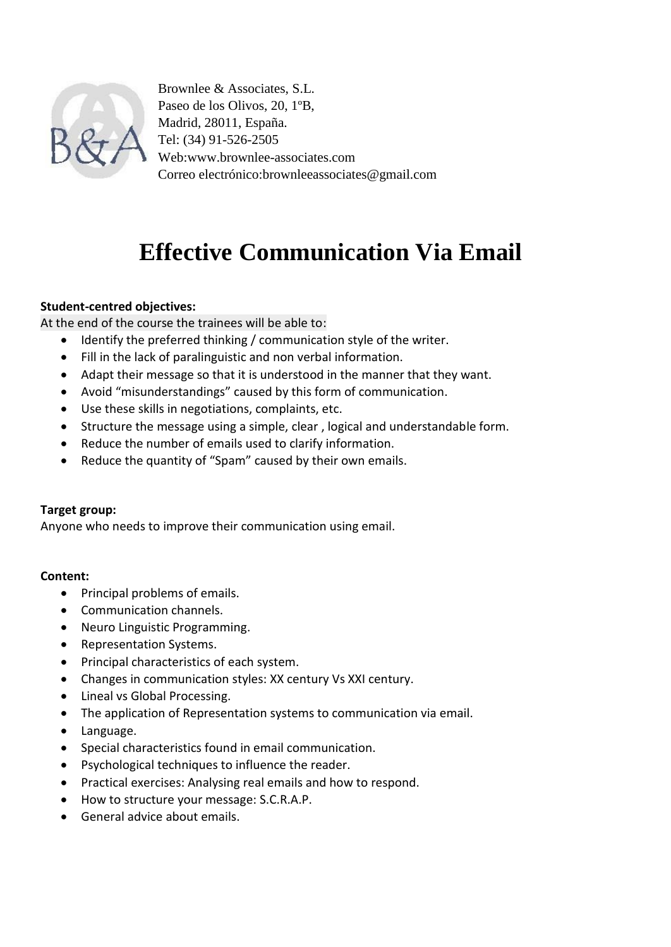

Brownlee & Associates, S.L. Paseo de los Olivos, 20, 1ºB, Madrid, 28011, España. Tel: (34) 91-526-2505 Web:www.brownlee-associates.com Correo electrónico:brownleeassociates@gmail.com

# **Effective Communication Via Email**

## **Student-centred objectives:**

At the end of the course the trainees will be able to:

- Identify the preferred thinking / communication style of the writer.
- Fill in the lack of paralinguistic and non verbal information.
- Adapt their message so that it is understood in the manner that they want.
- Avoid "misunderstandings" caused by this form of communication.
- Use these skills in negotiations, complaints, etc.
- Structure the message using a simple, clear, logical and understandable form.
- Reduce the number of emails used to clarify information.
- Reduce the quantity of "Spam" caused by their own emails.

## **Target group:**

Anyone who needs to improve their communication using email.

## **Content:**

- Principal problems of emails.
- Communication channels.
- Neuro Linguistic Programming.
- Representation Systems.
- Principal characteristics of each system.
- Changes in communication styles: XX century Vs XXI century.
- Lineal vs Global Processing.
- The application of Representation systems to communication via email.
- Language.
- Special characteristics found in email communication.
- Psychological techniques to influence the reader.
- Practical exercises: Analysing real emails and how to respond.
- How to structure your message: S.C.R.A.P.
- General advice about emails.